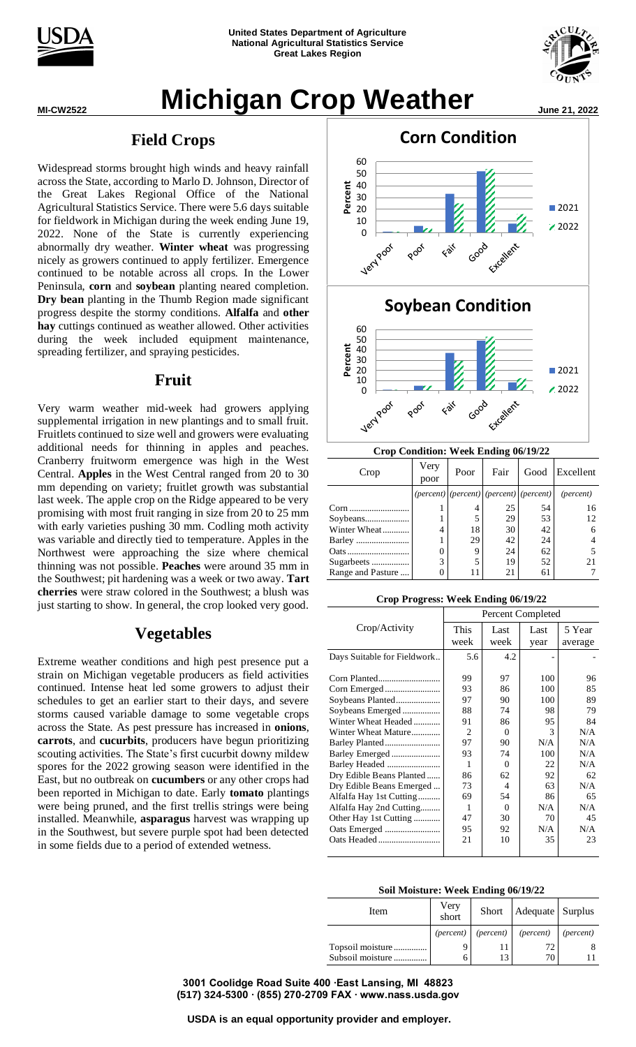



# **MICHIGAN Crop Weather June 21, 2022**

### **Field Crops**

Widespread storms brought high winds and heavy rainfall across the State, according to Marlo D. Johnson, Director of the Great Lakes Regional Office of the National Agricultural Statistics Service. There were 5.6 days suitable for fieldwork in Michigan during the week ending June 19, 2022. None of the State is currently experiencing abnormally dry weather. **Winter wheat** was progressing nicely as growers continued to apply fertilizer. Emergence continued to be notable across all crops. In the Lower Peninsula, **corn** and **soybean** planting neared completion. **Dry bean** planting in the Thumb Region made significant progress despite the stormy conditions. **Alfalfa** and **other hay** cuttings continued as weather allowed. Other activities during the week included equipment maintenance, spreading fertilizer, and spraying pesticides.

### **Fruit**

Very warm weather mid-week had growers applying supplemental irrigation in new plantings and to small fruit. Fruitlets continued to size well and growers were evaluating additional needs for thinning in apples and peaches. Cranberry fruitworm emergence was high in the West Central. **Apples** in the West Central ranged from 20 to 30 mm depending on variety; fruitlet growth was substantial last week. The apple crop on the Ridge appeared to be very promising with most fruit ranging in size from 20 to 25 mm with early varieties pushing 30 mm. Codling moth activity was variable and directly tied to temperature. Apples in the Northwest were approaching the size where chemical thinning was not possible. **Peaches** were around 35 mm in the Southwest; pit hardening was a week or two away. **Tart cherries** were straw colored in the Southwest; a blush was just starting to show. In general, the crop looked very good.

## **Vegetables**

Extreme weather conditions and high pest presence put a strain on Michigan vegetable producers as field activities continued. Intense heat led some growers to adjust their schedules to get an earlier start to their days, and severe storms caused variable damage to some vegetable crops across the State. As pest pressure has increased in **onions**, **carrots**, and **cucurbits**, producers have begun prioritizing scouting activities. The State's first cucurbit downy mildew spores for the 2022 growing season were identified in the East, but no outbreak on **cucumbers** or any other crops had been reported in Michigan to date. Early **tomato** plantings were being pruned, and the first trellis strings were being installed. Meanwhile, **asparagus** harvest was wrapping up in the Southwest, but severe purple spot had been detected in some fields due to a period of extended wetness.



**Crop Condition: Week Ending 06/19/22**

| Crop              | Very<br>poor | Poor | Fair | Good                                             | Excellent          |  |  |
|-------------------|--------------|------|------|--------------------------------------------------|--------------------|--|--|
|                   |              |      |      | $((percent)   (percent)   (percent)   (percent)$ | ( <i>percent</i> ) |  |  |
| Corn              |              |      | 25   | 54                                               | 16                 |  |  |
| Soybeans          |              |      | 29   | 53                                               | 12                 |  |  |
| Winter Wheat      | 4            | 18   | 30   | 42                                               | 6                  |  |  |
|                   |              | 29   | 42   | 24                                               |                    |  |  |
|                   | 0            | 9    | 24   | 62                                               |                    |  |  |
| Sugarbeets        | 3            | 5    | 19   | 52                                               | 21                 |  |  |
| Range and Pasture |              | 11   | 21   | 61                                               |                    |  |  |

#### **Crop Progress: Week Ending 06/19/22**

|                             | Percent Completed |          |      |         |  |  |  |  |
|-----------------------------|-------------------|----------|------|---------|--|--|--|--|
| Crop/Activity               | <b>This</b>       | Last     | Last | 5 Year  |  |  |  |  |
|                             | week              | week     | year | average |  |  |  |  |
| Days Suitable for Fieldwork | 5.6               | 4.2      |      |         |  |  |  |  |
|                             |                   |          |      |         |  |  |  |  |
|                             | 99                | 97       | 100  | 96      |  |  |  |  |
|                             | 93                | 86       | 100  | 85      |  |  |  |  |
| Soybeans Planted            | 97                | 90       | 100  | 89      |  |  |  |  |
| Soybeans Emerged            | 88                | 74       | 98   | 79      |  |  |  |  |
| Winter Wheat Headed         | 91                | 86       | 95   | 84      |  |  |  |  |
| Winter Wheat Mature         | 2                 | 0        | 3    | N/A     |  |  |  |  |
|                             | 97                | 90       | N/A  | N/A     |  |  |  |  |
| Barley Emerged              | 93                | 74       | 100  | N/A     |  |  |  |  |
|                             | 1                 | 0        | 22.  | N/A     |  |  |  |  |
| Dry Edible Beans Planted    | 86                | 62       | 92   | 62      |  |  |  |  |
| Dry Edible Beans Emerged    | 73                | 4        | 63   | N/A     |  |  |  |  |
| Alfalfa Hay 1st Cutting     | 69                | 54       | 86   | 65      |  |  |  |  |
| Alfalfa Hay 2nd Cutting     | 1                 | $\Omega$ | N/A  | N/A     |  |  |  |  |
| Other Hay 1st Cutting       | 47                | 30       | 70   | 45      |  |  |  |  |
| Oats Emerged                | 95                | 92       | N/A  | N/A     |  |  |  |  |
|                             | 21                | 10       | 35   | 23      |  |  |  |  |
|                             |                   |          |      |         |  |  |  |  |

#### **Soil Moisture: Week Ending 06/19/22**

| Item             | Very<br>short      |  | Short   Adequate   Surplus |                    |  |  |  |  |
|------------------|--------------------|--|----------------------------|--------------------|--|--|--|--|
|                  | ( <i>percent</i> ) |  | (percent) (percent)        | ( <i>percent</i> ) |  |  |  |  |
| Topsoil moisture | q                  |  | 72                         |                    |  |  |  |  |
| Subsoil moisture | 6                  |  | 70                         |                    |  |  |  |  |

**3001 Coolidge Road Suite 400 ∙East Lansing, MI 48823 (517) 324-5300 ∙ (855) 270-2709 FAX ∙ www.nass.usda.gov**